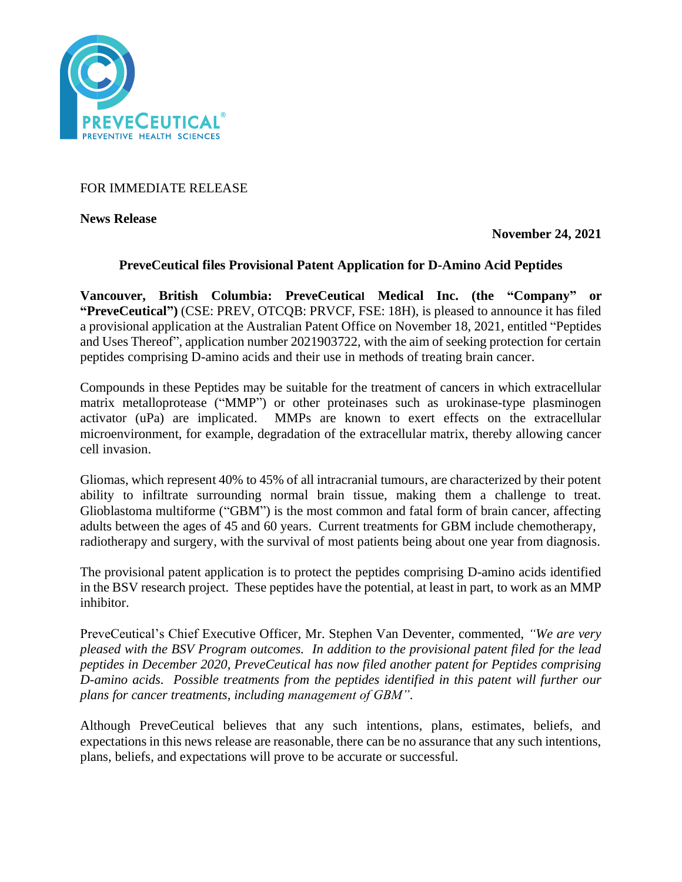

# FOR IMMEDIATE RELEASE

**News Release** 

**November 24, 2021**

# **PreveCeutical files Provisional Patent Application for D-Amino Acid Peptides**

**Vancouver, British Columbia: PreveCeutical Medical Inc. (the "Company" or "PreveCeutical")** (CSE: PREV, OTCQB: PRVCF, FSE: 18H), is pleased to announce it has filed a provisional application at the Australian Patent Office on November 18, 2021, entitled "Peptides and Uses Thereof", application number 2021903722, with the aim of seeking protection for certain peptides comprising D-amino acids and their use in methods of treating brain cancer.

Compounds in these Peptides may be suitable for the treatment of cancers in which extracellular matrix metalloprotease ("MMP") or other proteinases such as urokinase-type plasminogen activator (uPa) are implicated. MMPs are known to exert effects on the extracellular microenvironment, for example, degradation of the extracellular matrix, thereby allowing cancer cell invasion.

Gliomas, which represent 40% to 45% of all intracranial tumours, are characterized by their potent ability to infiltrate surrounding normal brain tissue, making them a challenge to treat. Glioblastoma multiforme ("GBM") is the most common and fatal form of brain cancer, affecting adults between the ages of 45 and 60 years. Current treatments for GBM include chemotherapy, radiotherapy and surgery, with the survival of most patients being about one year from diagnosis.

The provisional patent application is to protect the peptides comprising D-amino acids identified in the BSV research project. These peptides have the potential, at least in part, to work as an MMP inhibitor.

PreveCeutical's Chief Executive Officer, Mr. Stephen Van Deventer, commented, *"We are very pleased with the BSV Program outcomes. In addition to the provisional patent filed for the lead peptides in December 2020, PreveCeutical has now filed another patent for Peptides comprising D-amino acids. Possible treatments from the peptides identified in this patent will further our plans for cancer treatments, including management of GBM".*

Although PreveCeutical believes that any such intentions, plans, estimates, beliefs, and expectations in this news release are reasonable, there can be no assurance that any such intentions, plans, beliefs, and expectations will prove to be accurate or successful.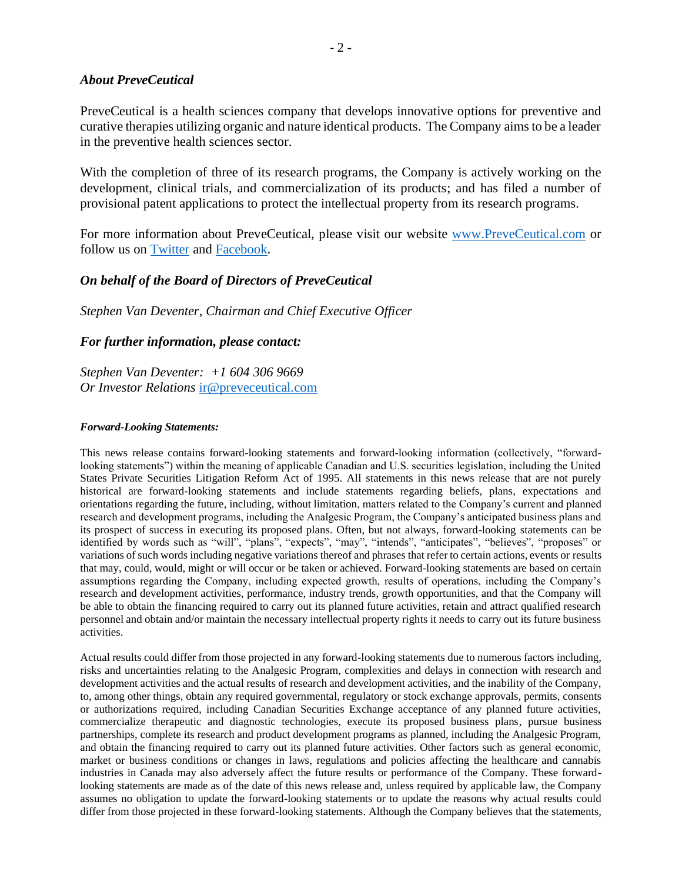#### *About PreveCeutical*

PreveCeutical is a health sciences company that develops innovative options for preventive and curative therapies utilizing organic and nature identical products. The Company aims to be a leader in the preventive health sciences sector.

With the completion of three of its research programs, the Company is actively working on the development, clinical trials, and commercialization of its products; and has filed a number of provisional patent applications to protect the intellectual property from its research programs.

For more information about PreveCeutical, please visit our website [www.PreveCeutical.com](http://www.preveceutical.com/) or follow us on [Twitter](http://twitter.com/PreveCeuticals) and [Facebook.](http://www.facebook.com/PreveCeutical)

# *On behalf of the Board of Directors of PreveCeutical*

*Stephen Van Deventer, Chairman and Chief Executive Officer*

### *For further information, please contact:*

*Stephen Van Deventer: +1 604 306 9669 Or Investor Relations* [ir@preveceutical.com](mailto:ir@preveceutical.com)

#### *Forward-Looking Statements:*

This news release contains forward-looking statements and forward-looking information (collectively, "forwardlooking statements") within the meaning of applicable Canadian and U.S. securities legislation, including the United States Private Securities Litigation Reform Act of 1995. All statements in this news release that are not purely historical are forward-looking statements and include statements regarding beliefs, plans, expectations and orientations regarding the future, including, without limitation, matters related to the Company's current and planned research and development programs, including the Analgesic Program, the Company's anticipated business plans and its prospect of success in executing its proposed plans. Often, but not always, forward-looking statements can be identified by words such as "will", "plans", "expects", "may", "intends", "anticipates", "believes", "proposes" or variations of such words including negative variations thereof and phrases that refer to certain actions, events or results that may, could, would, might or will occur or be taken or achieved. Forward-looking statements are based on certain assumptions regarding the Company, including expected growth, results of operations, including the Company's research and development activities, performance, industry trends, growth opportunities, and that the Company will be able to obtain the financing required to carry out its planned future activities, retain and attract qualified research personnel and obtain and/or maintain the necessary intellectual property rights it needs to carry out its future business activities.

Actual results could differ from those projected in any forward-looking statements due to numerous factors including, risks and uncertainties relating to the Analgesic Program, complexities and delays in connection with research and development activities and the actual results of research and development activities, and the inability of the Company, to, among other things, obtain any required governmental, regulatory or stock exchange approvals, permits, consents or authorizations required, including Canadian Securities Exchange acceptance of any planned future activities, commercialize therapeutic and diagnostic technologies, execute its proposed business plans, pursue business partnerships, complete its research and product development programs as planned, including the Analgesic Program, and obtain the financing required to carry out its planned future activities. Other factors such as general economic, market or business conditions or changes in laws, regulations and policies affecting the healthcare and cannabis industries in Canada may also adversely affect the future results or performance of the Company. These forwardlooking statements are made as of the date of this news release and, unless required by applicable law, the Company assumes no obligation to update the forward-looking statements or to update the reasons why actual results could differ from those projected in these forward-looking statements. Although the Company believes that the statements,